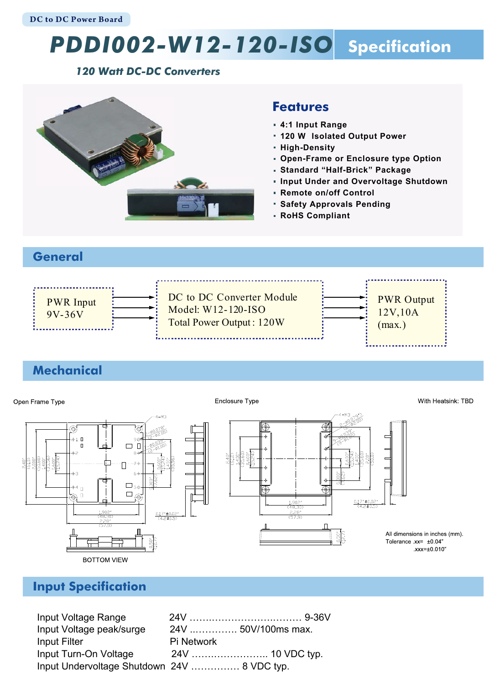# *PDDI002-W12-120-ISO* **Specification**

#### *120 Watt DC-DC Converters*



#### **Features**

- **4:1 Input Range**
- **120 W Isolated Output Power**
- **High-Density**
- **Open-Frame or Enclosure type Option**
- **Standard "Half-Brick" Package**
- **Input Under and Overvoltage Shutdown**
- **Remote on/off Control**
- **Safety Approvals Pending**
- **RoHS Compliant**

#### **General**



## **Mechanical**

#### With Heatsink: TBD Enclosure Type Open Frame Type ⊕  $+1$  $\square_{56}$  $\overset{\mathop{\rightharpoonup}{\mathop{\scriptscriptstyle\circ}}\mathop{\scriptscriptstyle\circ}}{\mathop{\oplus}}$  $\bigoplus$  $0.17'' \pm 0.02$  $\frac{1.902^*}{(48.30)^*}$  $\frac{2.28^{\degree}}{(57.9)^{\degree}}$  $\frac{1.90}{748}$  $\frac{0.17*10.02}{(4.2+0.5)}$ All dimensions in inches (mm). Tolerance .xx= ±0.04"  $xxx = \pm 0.010$ **BOTTOM VIEW**

## **Input Specification**

Input Voltage Range 24V …….……………….……… 9-36V Input Voltage peak/surge 24V ..…………. 50V/100ms max. Input Filter **Pi Network** Input Turn-On Voltage 24V …….…………….. 10 VDC typ. Input Undervoltage Shutdown 24V …………… 8 VDC typ.